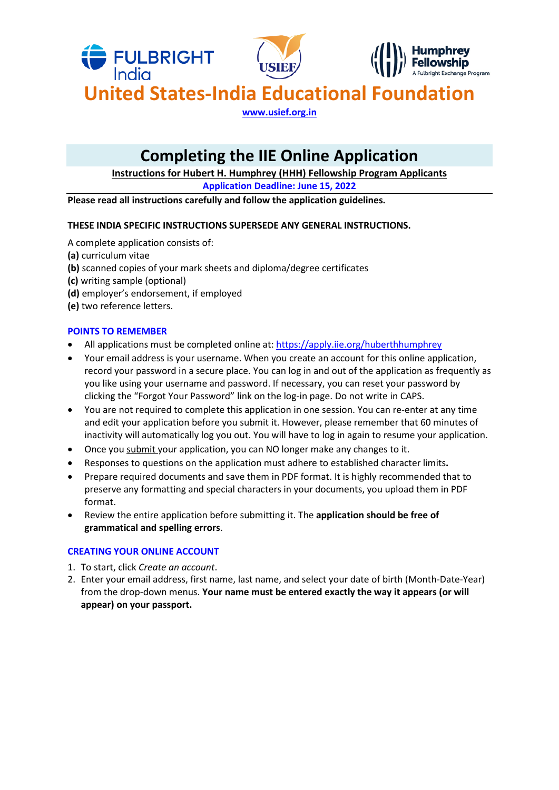

# **Completing the IIE Online Application**

**Instructions for Hubert H. Humphrey (HHH) Fellowship Program Applicants**

**Application Deadline: June 15, 2022**

**Please read all instructions carefully and follow the application guidelines.** 

# **THESE INDIA SPECIFIC INSTRUCTIONS SUPERSEDE ANY GENERAL INSTRUCTIONS.**

A complete application consists of:

- **(a)** curriculum vitae
- **(b)** scanned copies of your mark sheets and diploma/degree certificates
- **(c)** writing sample (optional)
- **(d)** employer's endorsement, if employed
- **(e)** two reference letters.

# **POINTS TO REMEMBER**

- All applications must be completed online at:<https://apply.iie.org/huberthhumphrey>
- Your email address is your username. When you create an account for this online application, record your password in a secure place. You can log in and out of the application as frequently as you like using your username and password. If necessary, you can reset your password by clicking the "Forgot Your Password" link on the log-in page. Do not write in CAPS.
- You are not required to complete this application in one session. You can re-enter at any time and edit your application before you submit it. However, please remember that 60 minutes of inactivity will automatically log you out. You will have to log in again to resume your application.
- Once you submit your application, you can NO longer make any changes to it.
- Responses to questions on the application must adhere to established character limits**.**
- Prepare required documents and save them in PDF format. It is highly recommended that to preserve any formatting and special characters in your documents, you upload them in PDF format.
- Review the entire application before submitting it. The **application should be free of grammatical and spelling errors**.

# **CREATING YOUR ONLINE ACCOUNT**

- 1. To start, click *Create an account*.
- 2. Enter your email address, first name, last name, and select your date of birth (Month-Date-Year) from the drop-down menus. **Your name must be entered exactly the way it appears (or will appear) on your passport.**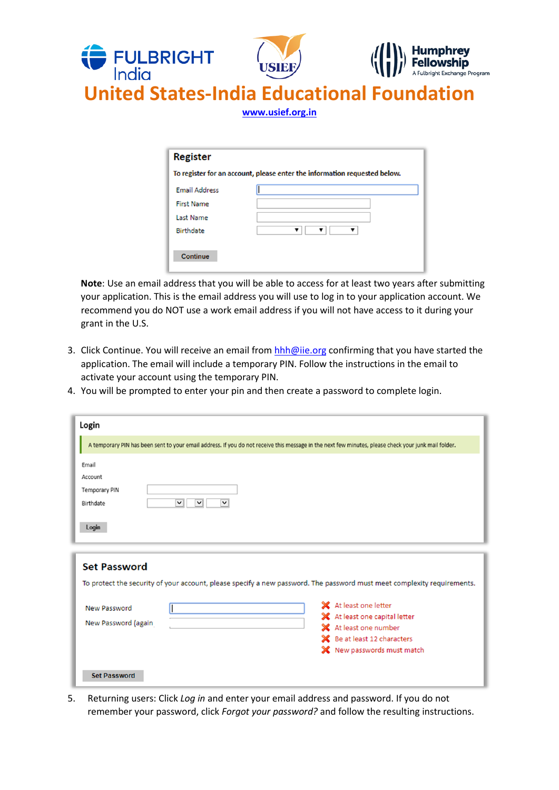

**Note**: Use an email address that you will be able to access for at least two years after submitting your application. This is the email address you will use to log in to your application account. We recommend you do NOT use a work email address if you will not have access to it during your grant in the U.S.

- 3. Click Continue. You will receive an email from [hhh@iie.org](mailto:hhh@iie.org) confirming that you have started the application. The email will include a temporary PIN. Follow the instructions in the email to activate your account using the temporary PIN.
- 4. You will be prompted to enter your pin and then create a password to complete login.

| Login                                                                                              |                                                                                                                                                                                                                                                                       |
|----------------------------------------------------------------------------------------------------|-----------------------------------------------------------------------------------------------------------------------------------------------------------------------------------------------------------------------------------------------------------------------|
|                                                                                                    | A temporary PIN has been sent to your email address. If you do not receive this message in the next few minutes, please check your junk mail folder.                                                                                                                  |
| Email<br>Account<br><b>Temporary PIN</b><br>$\vee$<br>$\vee$<br>Birthdate<br>$\checkmark$<br>Login |                                                                                                                                                                                                                                                                       |
| <b>Set Password</b><br>New Password<br>New Password (again                                         | To protect the security of your account, please specify a new password. The password must meet complexity requirements.<br>X At least one letter<br>X At least one capital letter<br>X At least one number<br>Se at least 12 characters<br>X New passwords must match |
| <b>Set Password</b>                                                                                |                                                                                                                                                                                                                                                                       |

5. Returning users: Click *Log in* and enter your email address and password. If you do not remember your password, click *Forgot your password?* and follow the resulting instructions.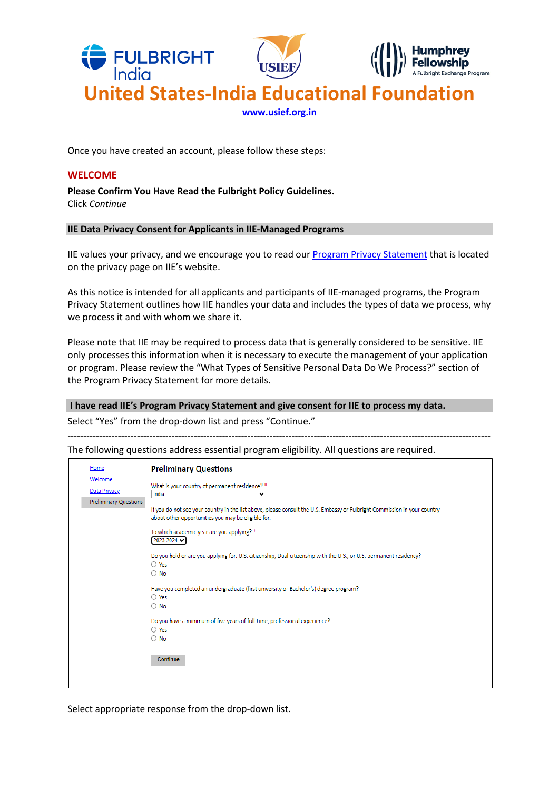

Once you have created an account, please follow these steps:

#### **WELCOME**

**Please Confirm You Have Read the Fulbright Policy Guidelines.** Click *Continue*

#### **IIE Data Privacy Consent for Applicants in IIE-Managed Programs**

IIE values your privacy, and we encourage you to read our [Program Privacy Statement](http://www.iie.org/Learn/Privacy/IIE-Program-Privacy-Statement) that is located on the privacy page on IIE's website.

As this notice is intended for all applicants and participants of IIE-managed programs, the Program Privacy Statement outlines how IIE handles your data and includes the types of data we process, why we process it and with whom we share it.

Please note that IIE may be required to process data that is generally considered to be sensitive. IIE only processes this information when it is necessary to execute the management of your application or program. Please review the "What Types of Sensitive Personal Data Do We Process?" section of the Program Privacy Statement for more details.

--------------------------------------------------------------------------------------------------------------------------------------

#### **I have read IIE's Program Privacy Statement and give consent for IIE to process my data.**

Select "Yes" from the drop-down list and press "Continue."

The following questions address essential program eligibility. All questions are required.

| Home                                             | <b>Preliminary Questions</b>                                                                                                                                                                                                                                                                                                                                                                                                                                         |
|--------------------------------------------------|----------------------------------------------------------------------------------------------------------------------------------------------------------------------------------------------------------------------------------------------------------------------------------------------------------------------------------------------------------------------------------------------------------------------------------------------------------------------|
| Welcome<br>Data Privacy<br>Preliminary Questions | What is your country of permanent residence? *<br>India<br>٧<br>If you do not see your country in the list above, please consult the U.S. Embassy or Fulbright Commission in your country<br>about other opportunities you may be eligible for.<br>To which academic year are you applying? *<br>$[2023 - 2024 \mathbf{v}]$<br>Do you hold or are you applying for: U.S. citizenship; Dual citizenship with the U.S.; or U.S. permanent residency?<br>$\bigcirc$ Yes |
|                                                  | $\circ$ No<br>Have you completed an undergraduate (first university or Bachelor's) degree program?<br>$\bigcirc$ Yes<br>$\circ$ No<br>Do you have a minimum of five years of full-time, professional experience?<br>$\bigcirc$ Yes<br>$\circ$ No<br>Continue                                                                                                                                                                                                         |

Select appropriate response from the drop-down list.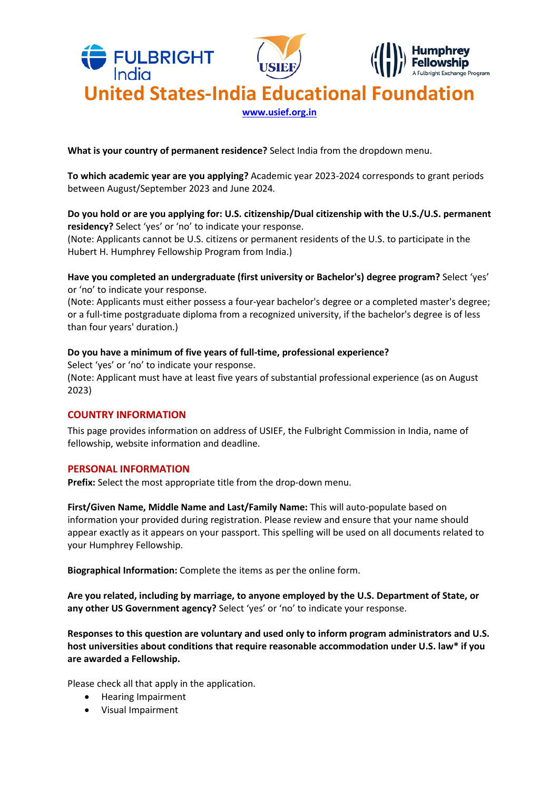

**What is your country of permanent residence?** Select India from the dropdown menu.

**To which academic year are you applying?** Academic year 2023-2024 corresponds to grant periods between August/September 2023 and June 2024*.*

# **Do you hold or are you applying for: U.S. citizenship/Dual citizenship with the U.S./U.S. permanent residency?** Select 'yes' or 'no' to indicate your response. (Note: Applicants cannot be U.S. citizens or permanent residents of the U.S. to participate in the Hubert H. Humphrey Fellowship Program from India.)

**Have you completed an undergraduate (first university or Bachelor's) degree program?** Select 'yes' or 'no' to indicate your response.

(Note: Applicants must either possess a four-year bachelor's degree or a completed master's degree; or a full-time postgraduate diploma from a recognized university, if the bachelor's degree is of less than four years' duration.)

# **Do you have a minimum of five years of full-time, professional experience?**

Select 'yes' or 'no' to indicate your response. (Note: Applicant must have at least five years of substantial professional experience (as on August 2023)

# **COUNTRY INFORMATION**

This page provides information on address of USIEF, the Fulbright Commission in India, name of fellowship, website information and deadline.

## **PERSONAL INFORMATION**

Prefix: Select the most appropriate title from the drop-down menu.

**First/Given Name, Middle Name and Last/Family Name:** This will auto-populate based on information your provided during registration. Please review and ensure that your name should appear exactly as it appears on your passport. This spelling will be used on all documents related to your Humphrey Fellowship.

**Biographical Information:** Complete the items as per the online form.

**Are you related, including by marriage, to anyone employed by the U․S․ Department of State, or any other US Government agency?** Select 'yes' or 'no' to indicate your response.

**Responses to this question are voluntary and used only to inform program administrators and U.S. host universities about conditions that require reasonable accommodation under U.S. law\* if you are awarded a Fellowship.**

Please check all that apply in the application.

- Hearing Impairment
- Visual Impairment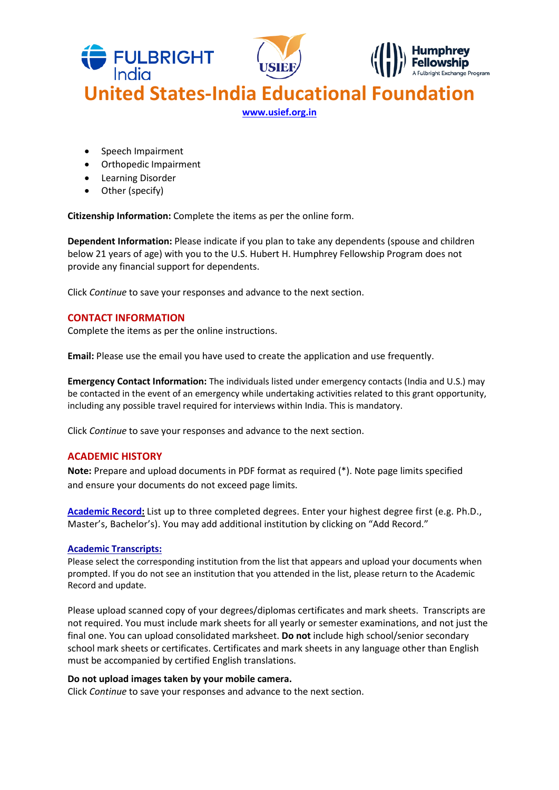

- Speech Impairment
- Orthopedic Impairment
- Learning Disorder
- Other (specify)

**Citizenship Information:** Complete the items as per the online form.

**Dependent Information:** Please indicate if you plan to take any dependents (spouse and children below 21 years of age) with you to the U.S. Hubert H. Humphrey Fellowship Program does not provide any financial support for dependents.

Click *Continue* to save your responses and advance to the next section.

## **CONTACT INFORMATION**

Complete the items as per the online instructions.

**Email:** Please use the email you have used to create the application and use frequently.

**Emergency Contact Information:** The individuals listed under emergency contacts (India and U.S.) may be contacted in the event of an emergency while undertaking activities related to this grant opportunity, including any possible travel required for interviews within India. This is mandatory.

Click *Continue* to save your responses and advance to the next section.

## **ACADEMIC HISTORY**

**Note:** Prepare and upload documents in PDF format as required (\*). Note page limits specified and ensure your documents do not exceed page limits.

**Academic Record:** List up to three completed degrees. Enter your highest degree first (e.g. Ph.D., Master's, Bachelor's). You may add additional institution by clicking on "Add Record."

## **Academic Transcripts:**

Please select the corresponding institution from the list that appears and upload your documents when prompted. If you do not see an institution that you attended in the list, please return to the Academic Record and update.

Please upload scanned copy of your degrees/diplomas certificates and mark sheets. Transcripts are not required. You must include mark sheets for all yearly or semester examinations, and not just the final one. You can upload consolidated marksheet. **Do not** include high school/senior secondary school mark sheets or certificates. Certificates and mark sheets in any language other than English must be accompanied by certified English translations.

#### **Do not upload images taken by your mobile camera.**

Click *Continue* to save your responses and advance to the next section.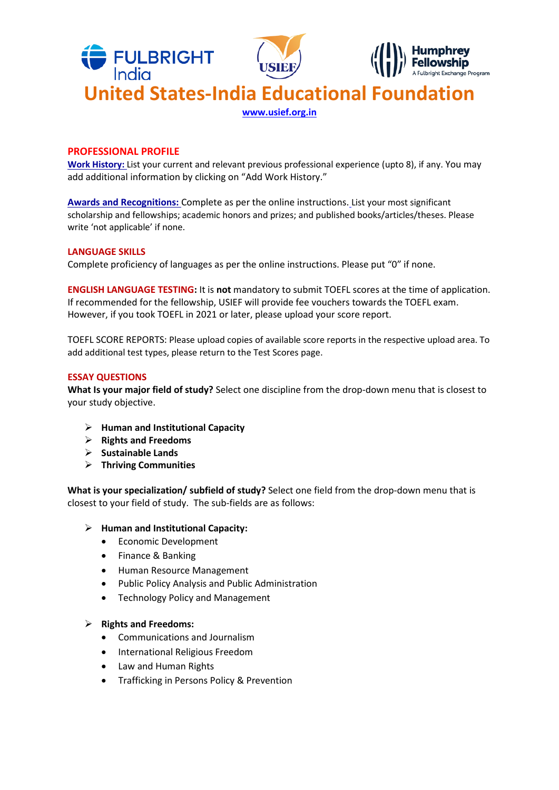

#### **PROFESSIONAL PROFILE**

**Work History:** List your current and relevant previous professional experience (upto 8), if any. You may add additional information by clicking on "Add Work History."

**Awards and Recognitions:** Complete as per the online instructions. List your most significant scholarship and fellowships; academic honors and prizes; and published books/articles/theses. Please write 'not applicable' if none.

#### **LANGUAGE SKILLS**

Complete proficiency of languages as per the online instructions. Please put "0" if none.

**ENGLISH LANGUAGE TESTING:** It is **not** mandatory to submit TOEFL scores at the time of application. If recommended for the fellowship, USIEF will provide fee vouchers towards the TOEFL exam. However, if you took TOEFL in 2021 or later, please upload your score report.

TOEFL SCORE REPORTS: Please upload copies of available score reports in the respective upload area. To add additional test types, please return to the Test Scores page.

#### **ESSAY QUESTIONS**

**What Is your major field of study?** Select one discipline from the drop-down menu that is closest to your study objective.

- **Human and Institutional Capacity**
- **Rights and Freedoms**
- **Sustainable Lands**
- **Thriving Communities**

**What is your specialization/ subfield of study?** Select one field from the drop-down menu that is closest to your field of study. The sub-fields are as follows:

## **Human and Institutional Capacity:**

- Economic Development
- Finance & Banking
- Human Resource Management
- Public Policy Analysis and Public Administration
- Technology Policy and Management

## **Rights and Freedoms:**

- Communications and Journalism
- International Religious Freedom
- Law and Human Rights
- Trafficking in Persons Policy & Prevention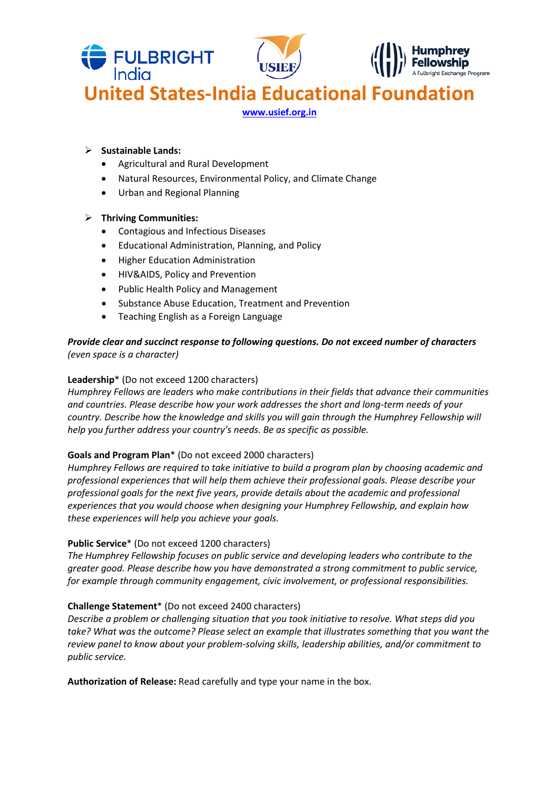

# **Sustainable Lands:**

- Agricultural and Rural Development
- Natural Resources, Environmental Policy, and Climate Change
- Urban and Regional Planning

# **Thriving Communities:**

- Contagious and Infectious Diseases
- Educational Administration, Planning, and Policy
- Higher Education Administration
- HIV&AIDS, Policy and Prevention
- Public Health Policy and Management
- Substance Abuse Education, Treatment and Prevention
- Teaching English as a Foreign Language

*Provide clear and succinct response to following questions. Do not exceed number of characters (even space is a character)*

# **Leadership**\* (Do not exceed 1200 characters)

*Humphrey Fellows are leaders who make contributions in their fields that advance their communities and countries. Please describe how your work addresses the short and long-term needs of your country. Describe how the knowledge and skills you will gain through the Humphrey Fellowship will help you further address your country's needs. Be as specific as possible.*

## **Goals and Program Plan**\* (Do not exceed 2000 characters)

*Humphrey Fellows are required to take initiative to build a program plan by choosing academic and professional experiences that will help them achieve their professional goals. Please describe your professional goals for the next five years, provide details about the academic and professional experiences that you would choose when designing your Humphrey Fellowship, and explain how these experiences will help you achieve your goals.* 

## **Public Service**\* (Do not exceed 1200 characters)

*The Humphrey Fellowship focuses on public service and developing leaders who contribute to the greater good. Please describe how you have demonstrated a strong commitment to public service, for example through community engagement, civic involvement, or professional responsibilities.* 

## **Challenge Statement**\* (Do not exceed 2400 characters)

*Describe a problem or challenging situation that you took initiative to resolve. What steps did you take? What was the outcome? Please select an example that illustrates something that you want the review panel to know about your problem-solving skills, leadership abilities, and/or commitment to public service.* 

**Authorization of Release:** Read carefully and type your name in the box.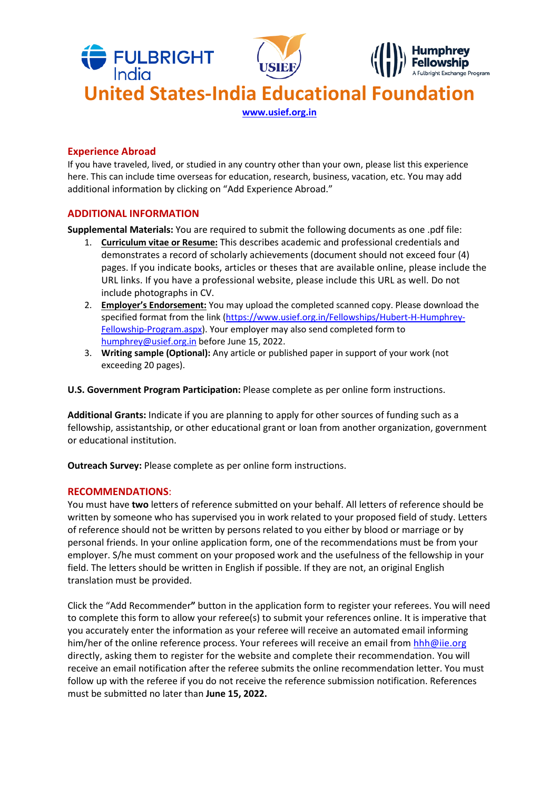

# **Experience Abroad**

If you have traveled, lived, or studied in any country other than your own, please list this experience here. This can include time overseas for education, research, business, vacation, etc. You may add additional information by clicking on "Add Experience Abroad."

# **ADDITIONAL INFORMATION**

**Supplemental Materials:** You are required to submit the following documents as one .pdf file:

- 1. **Curriculum vitae or Resume:** This describes academic and professional credentials and demonstrates a record of scholarly achievements (document should not exceed four (4) pages. If you indicate books, articles or theses that are available online, please include the URL links. If you have a professional website, please include this URL as well. Do not include photographs in CV.
- 2. **Employer's Endorsement:** You may upload the completed scanned copy. Please download the specified format from the link [\(https://www.usief.org.in/Fellowships/Hubert-H-Humphrey-](https://www.usief.org.in/Fellowships/Hubert-H-Humphrey-Fellowship-Program.aspx)[Fellowship-Program.aspx\)](https://www.usief.org.in/Fellowships/Hubert-H-Humphrey-Fellowship-Program.aspx). Your employer may also send completed form to [humphrey@usief.org.in](mailto:humphrey@usief.org.in) before June 15, 2022.
- 3. **Writing sample (Optional):** Any article or published paper in support of your work (not exceeding 20 pages).

**U.S. Government Program Participation:** Please complete as per online form instructions.

**Additional Grants:** Indicate if you are planning to apply for other sources of funding such as a fellowship, assistantship, or other educational grant or loan from another organization, government or educational institution.

**Outreach Survey:** Please complete as per online form instructions.

## **RECOMMENDATIONS**:

You must have **two** letters of reference submitted on your behalf. All letters of reference should be written by someone who has supervised you in work related to your proposed field of study. Letters of reference should not be written by persons related to you either by blood or marriage or by personal friends. In your online application form, one of the recommendations must be from your employer. S/he must comment on your proposed work and the usefulness of the fellowship in your field. The letters should be written in English if possible. If they are not, an original English translation must be provided.

Click the "Add Recommender**"** button in the application form to register your referees. You will need to complete this form to allow your referee(s) to submit your references online. It is imperative that you accurately enter the information as your referee will receive an automated email informing him/her of the online reference process. Your referees will receive an email from [hhh@iie.org](mailto:hhh@iie.org) directly, asking them to register for the website and complete their recommendation. You will receive an email notification after the referee submits the online recommendation letter. You must follow up with the referee if you do not receive the reference submission notification. References must be submitted no later than **June 15, 2022.**